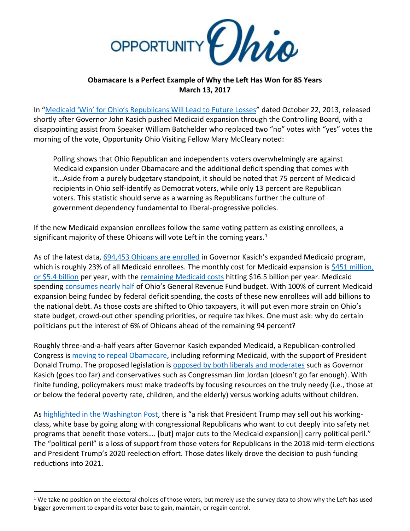

## **Obamacare Is a Perfect Example of Why the Left Has Won for 85 Years March 13, 2017**

In ["Medicaid 'Win' for Ohio's Republicans Will Lead to](http://www.opportunityohio.org/medicaid-win-for-ohios-republicans-will-lead-to-future-losses/) Future Losses" dated October 22, 2013, released shortly after Governor John Kasich pushed Medicaid expansion through the Controlling Board, with a disappointing assist from Speaker William Batchelder who replaced two "no" votes with "yes" votes the morning of the vote, Opportunity Ohio Visiting Fellow Mary McCleary noted:

Polling shows that Ohio Republican and independents voters overwhelmingly are against Medicaid expansion under Obamacare and the additional deficit spending that comes with it…Aside from a purely budgetary standpoint, it should be noted that 75 percent of Medicaid recipients in Ohio self-identify as Democrat voters, while only 13 percent are Republican voters. This statistic should serve as a warning as Republicans further the culture of government dependency fundamental to liberal-progressive policies.

If the new Medicaid expansion enrollees follow the same voting pattern as existing enrollees, a significant majority of these Ohioans will vote Left in the coming years. $<sup>1</sup>$ </sup>

As of the latest data, [694,453 Ohioans are enrolled](http://medicaid.ohio.gov/Portals/0/Resources/Research/MedicaidEligExpReports/2017/Med-2.pdf) in Governor Kasich's expanded Medicaid program, which is roughly 23% of all Medicaid enrollees. The monthly cost for Medicaid expansion is \$451 million, [or \\$5.4 billion](http://medicaid.ohio.gov/Portals/0/Resources/Research/MedicaidEligExpReports/2017/Med-1.pdf) per year, with the [remaining Medicaid costs](http://medicaid.ohio.gov/Portals/0/Resources/Research/MedicaidEligExpReports/2017/Med-1.pdf) hitting \$16.5 billion per year. Medicaid spending [consumes nearly half](http://www.opportunityohio.org/wp-content/uploads/2017/01/Governor-John-Kasich%E2%80%99s-Final-Budget.pdf) of Ohio's General Revenue Fund budget. With 100% of current Medicaid expansion being funded by federal deficit spending, the costs of these new enrollees will add billions to the national debt. As those costs are shifted to Ohio taxpayers, it will put even more strain on Ohio's state budget, crowd-out other spending priorities, or require tax hikes. One must ask: why do certain politicians put the interest of 6% of Ohioans ahead of the remaining 94 percent?

Roughly three-and-a-half years after Governor Kasich expanded Medicaid, a Republican-controlled Congress i[s moving to repeal Obamacare,](http://thehill.com/policy/healthcare/322609-gop-releases-bill-to-repeal-and-replace-obamacare) including reforming Medicaid, with the support of President Donald Trump. The proposed legislation is [opposed by both liberals and moderates](http://www.dispatch.com/news/20170307/kasich-tiberi-jordan-differ-on-gop-health-care-plan-removing-thousands-of-ohioans-from-coverage) such as Governor Kasich (goes too far) and conservatives such as Congressman Jim Jordan (doesn't go far enough). With finite funding, policymakers must make tradeoffs by focusing resources on the truly needy (i.e., those at or below the federal poverty rate, children, and the elderly) versus working adults without children.

A[s highlighted in the Washington Post](https://www.washingtonpost.com/blogs/plum-line/wp/2017/02/27/a-split-has-emerged-among-top-trump-advisers-it-could-have-major-repercussions/?utm_term=.4036d6d359c6&wpisrc=nl_popns&wpmm=1), there is "a risk that President Trump may sell out his workingclass, white base by going along with congressional Republicans who want to cut deeply into safety net programs that benefit those voters…. [but] major cuts to the Medicaid expansion[] carry political peril." The "political peril" is a loss of support from those voters for Republicans in the 2018 mid-term elections and President Trump's 2020 reelection effort. Those dates likely drove the decision to push funding reductions into 2021.

 $\overline{\phantom{a}}$ 

 $1$  We take no position on the electoral choices of those voters, but merely use the survey data to show why the Left has used bigger government to expand its voter base to gain, maintain, or regain control.